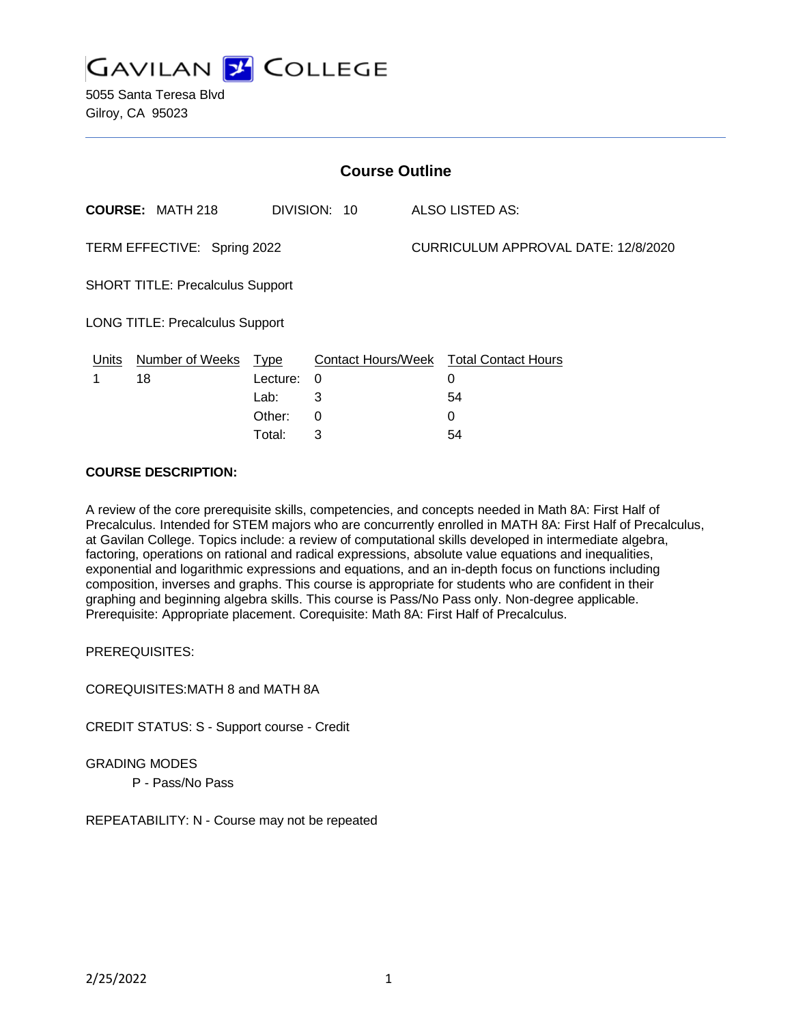

5055 Santa Teresa Blvd Gilroy, CA 95023

| <b>Course Outline</b>                                              |                         |             |                           |  |                            |
|--------------------------------------------------------------------|-------------------------|-------------|---------------------------|--|----------------------------|
|                                                                    | <b>COURSE: MATH 218</b> |             | DIVISION: 10              |  | ALSO LISTED AS:            |
| CURRICULUM APPROVAL DATE: 12/8/2020<br>TERM EFFECTIVE: Spring 2022 |                         |             |                           |  |                            |
| <b>SHORT TITLE: Precalculus Support</b>                            |                         |             |                           |  |                            |
| <b>LONG TITLE: Precalculus Support</b>                             |                         |             |                           |  |                            |
| Units                                                              | <b>Number of Weeks</b>  | <u>Type</u> | <b>Contact Hours/Week</b> |  | <b>Total Contact Hours</b> |
| 1                                                                  | 18                      | Lecture:    | 0                         |  | 0                          |
|                                                                    |                         | Lab:        | 3                         |  | 54                         |
|                                                                    |                         | Other:      | 0                         |  | 0                          |
|                                                                    |                         | Total:      | 3                         |  | 54                         |

# **COURSE DESCRIPTION:**

A review of the core prerequisite skills, competencies, and concepts needed in Math 8A: First Half of Precalculus. Intended for STEM majors who are concurrently enrolled in MATH 8A: First Half of Precalculus, at Gavilan College. Topics include: a review of computational skills developed in intermediate algebra, factoring, operations on rational and radical expressions, absolute value equations and inequalities, exponential and logarithmic expressions and equations, and an in-depth focus on functions including composition, inverses and graphs. This course is appropriate for students who are confident in their graphing and beginning algebra skills. This course is Pass/No Pass only. Non-degree applicable. Prerequisite: Appropriate placement. Corequisite: Math 8A: First Half of Precalculus.

PREREQUISITES:

COREQUISITES:MATH 8 and MATH 8A

CREDIT STATUS: S - Support course - Credit

GRADING MODES

P - Pass/No Pass

REPEATABILITY: N - Course may not be repeated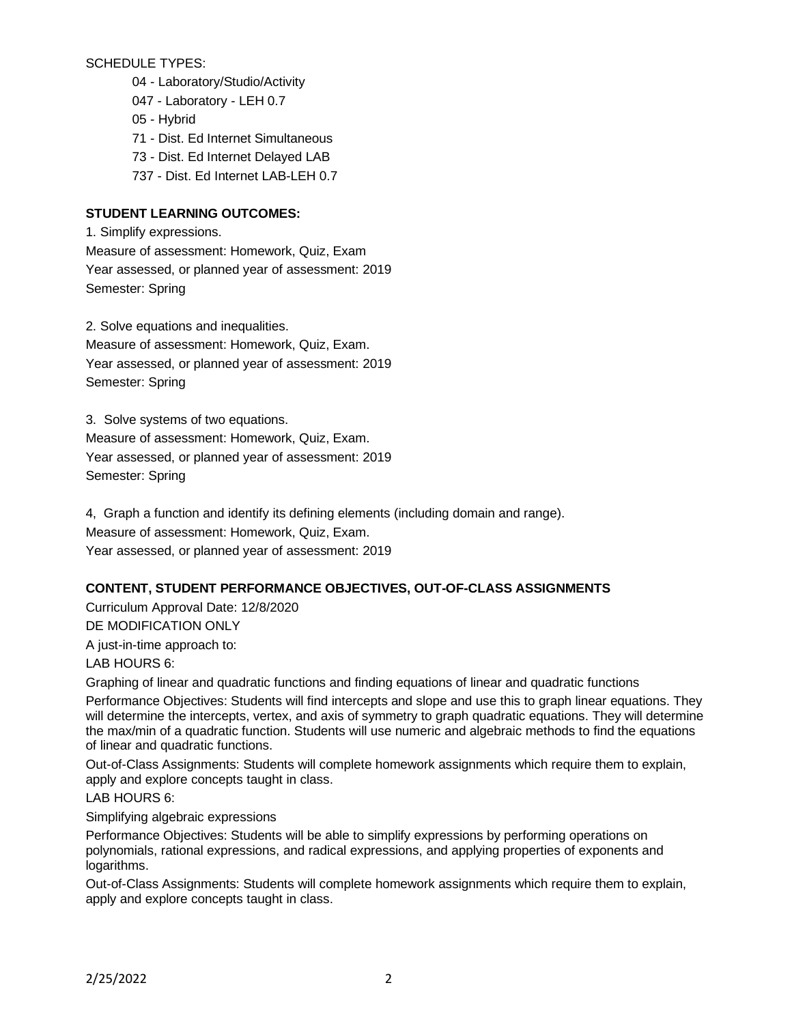SCHEDULE TYPES:

- 04 Laboratory/Studio/Activity
- 047 Laboratory LEH 0.7
- 05 Hybrid
- 71 Dist. Ed Internet Simultaneous
- 73 Dist. Ed Internet Delayed LAB
- 737 Dist. Ed Internet LAB-LEH 0.7

# **STUDENT LEARNING OUTCOMES:**

1. Simplify expressions. Measure of assessment: Homework, Quiz, Exam Year assessed, or planned year of assessment: 2019 Semester: Spring

2. Solve equations and inequalities. Measure of assessment: Homework, Quiz, Exam. Year assessed, or planned year of assessment: 2019 Semester: Spring

3. Solve systems of two equations. Measure of assessment: Homework, Quiz, Exam. Year assessed, or planned year of assessment: 2019 Semester: Spring

4, Graph a function and identify its defining elements (including domain and range). Measure of assessment: Homework, Quiz, Exam. Year assessed, or planned year of assessment: 2019

## **CONTENT, STUDENT PERFORMANCE OBJECTIVES, OUT-OF-CLASS ASSIGNMENTS**

Curriculum Approval Date: 12/8/2020 DE MODIFICATION ONLY

A just-in-time approach to:

LAB HOURS 6:

Graphing of linear and quadratic functions and finding equations of linear and quadratic functions

Performance Objectives: Students will find intercepts and slope and use this to graph linear equations. They will determine the intercepts, vertex, and axis of symmetry to graph quadratic equations. They will determine the max/min of a quadratic function. Students will use numeric and algebraic methods to find the equations of linear and quadratic functions.

Out-of-Class Assignments: Students will complete homework assignments which require them to explain, apply and explore concepts taught in class.

LAB HOURS 6:

Simplifying algebraic expressions

Performance Objectives: Students will be able to simplify expressions by performing operations on polynomials, rational expressions, and radical expressions, and applying properties of exponents and logarithms.

Out-of-Class Assignments: Students will complete homework assignments which require them to explain, apply and explore concepts taught in class.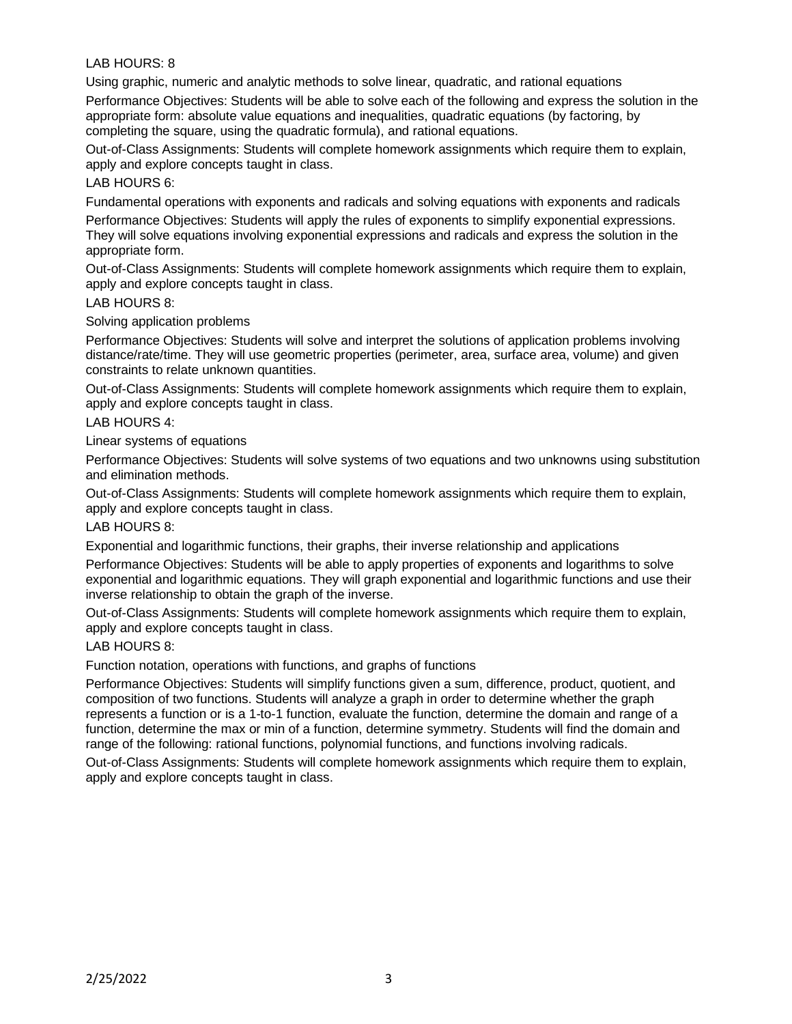## LAB HOURS: 8

Using graphic, numeric and analytic methods to solve linear, quadratic, and rational equations

Performance Objectives: Students will be able to solve each of the following and express the solution in the appropriate form: absolute value equations and inequalities, quadratic equations (by factoring, by completing the square, using the quadratic formula), and rational equations.

Out-of-Class Assignments: Students will complete homework assignments which require them to explain, apply and explore concepts taught in class.

### LAB HOURS 6:

Fundamental operations with exponents and radicals and solving equations with exponents and radicals

Performance Objectives: Students will apply the rules of exponents to simplify exponential expressions. They will solve equations involving exponential expressions and radicals and express the solution in the appropriate form.

Out-of-Class Assignments: Students will complete homework assignments which require them to explain, apply and explore concepts taught in class.

#### LAB HOURS 8:

Solving application problems

Performance Objectives: Students will solve and interpret the solutions of application problems involving distance/rate/time. They will use geometric properties (perimeter, area, surface area, volume) and given constraints to relate unknown quantities.

Out-of-Class Assignments: Students will complete homework assignments which require them to explain, apply and explore concepts taught in class.

#### LAB HOURS 4:

Linear systems of equations

Performance Objectives: Students will solve systems of two equations and two unknowns using substitution and elimination methods.

Out-of-Class Assignments: Students will complete homework assignments which require them to explain, apply and explore concepts taught in class.

LAB HOURS 8:

Exponential and logarithmic functions, their graphs, their inverse relationship and applications

Performance Objectives: Students will be able to apply properties of exponents and logarithms to solve exponential and logarithmic equations. They will graph exponential and logarithmic functions and use their inverse relationship to obtain the graph of the inverse.

Out-of-Class Assignments: Students will complete homework assignments which require them to explain, apply and explore concepts taught in class.

## LAB HOURS 8:

Function notation, operations with functions, and graphs of functions

Performance Objectives: Students will simplify functions given a sum, difference, product, quotient, and composition of two functions. Students will analyze a graph in order to determine whether the graph represents a function or is a 1-to-1 function, evaluate the function, determine the domain and range of a function, determine the max or min of a function, determine symmetry. Students will find the domain and range of the following: rational functions, polynomial functions, and functions involving radicals.

Out-of-Class Assignments: Students will complete homework assignments which require them to explain, apply and explore concepts taught in class.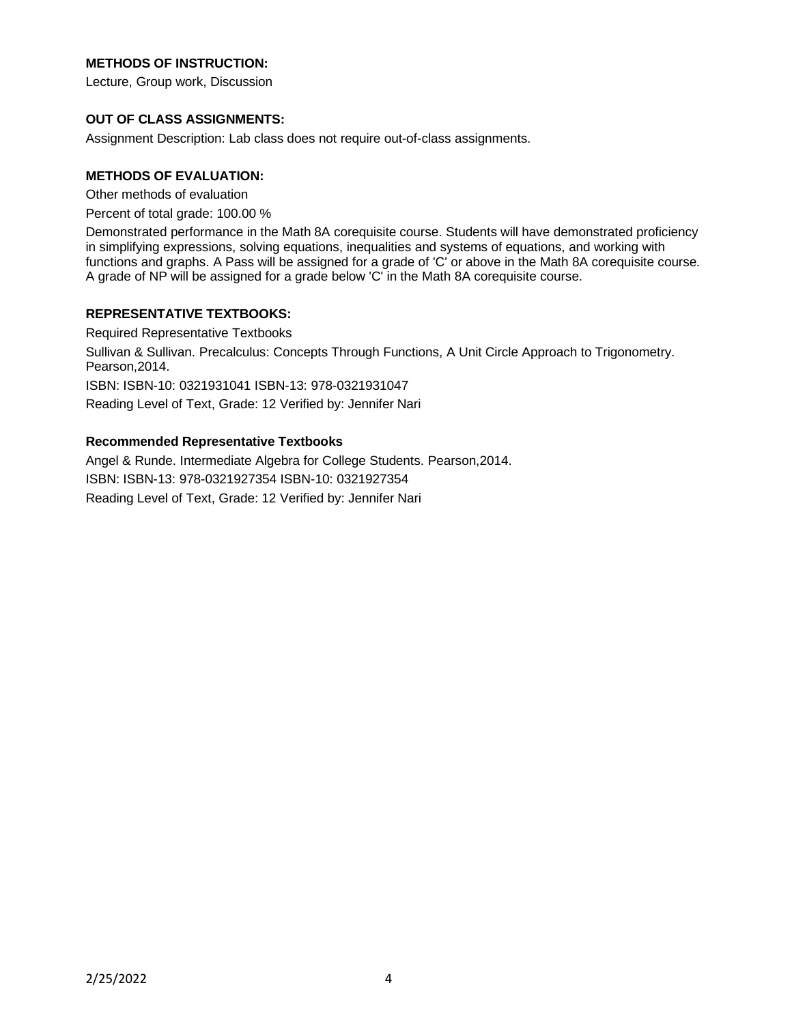# **METHODS OF INSTRUCTION:**

Lecture, Group work, Discussion

## **OUT OF CLASS ASSIGNMENTS:**

Assignment Description: Lab class does not require out-of-class assignments.

### **METHODS OF EVALUATION:**

Other methods of evaluation

Percent of total grade: 100.00 %

Demonstrated performance in the Math 8A corequisite course. Students will have demonstrated proficiency in simplifying expressions, solving equations, inequalities and systems of equations, and working with functions and graphs. A Pass will be assigned for a grade of 'C' or above in the Math 8A corequisite course. A grade of NP will be assigned for a grade below 'C' in the Math 8A corequisite course.

## **REPRESENTATIVE TEXTBOOKS:**

Required Representative Textbooks Sullivan & Sullivan. Precalculus: Concepts Through Functions, A Unit Circle Approach to Trigonometry. Pearson,2014. ISBN: ISBN-10: 0321931041 ISBN-13: 978-0321931047 Reading Level of Text, Grade: 12 Verified by: Jennifer Nari

## **Recommended Representative Textbooks**

Angel & Runde. Intermediate Algebra for College Students. Pearson,2014. ISBN: ISBN-13: 978-0321927354 ISBN-10: 0321927354 Reading Level of Text, Grade: 12 Verified by: Jennifer Nari